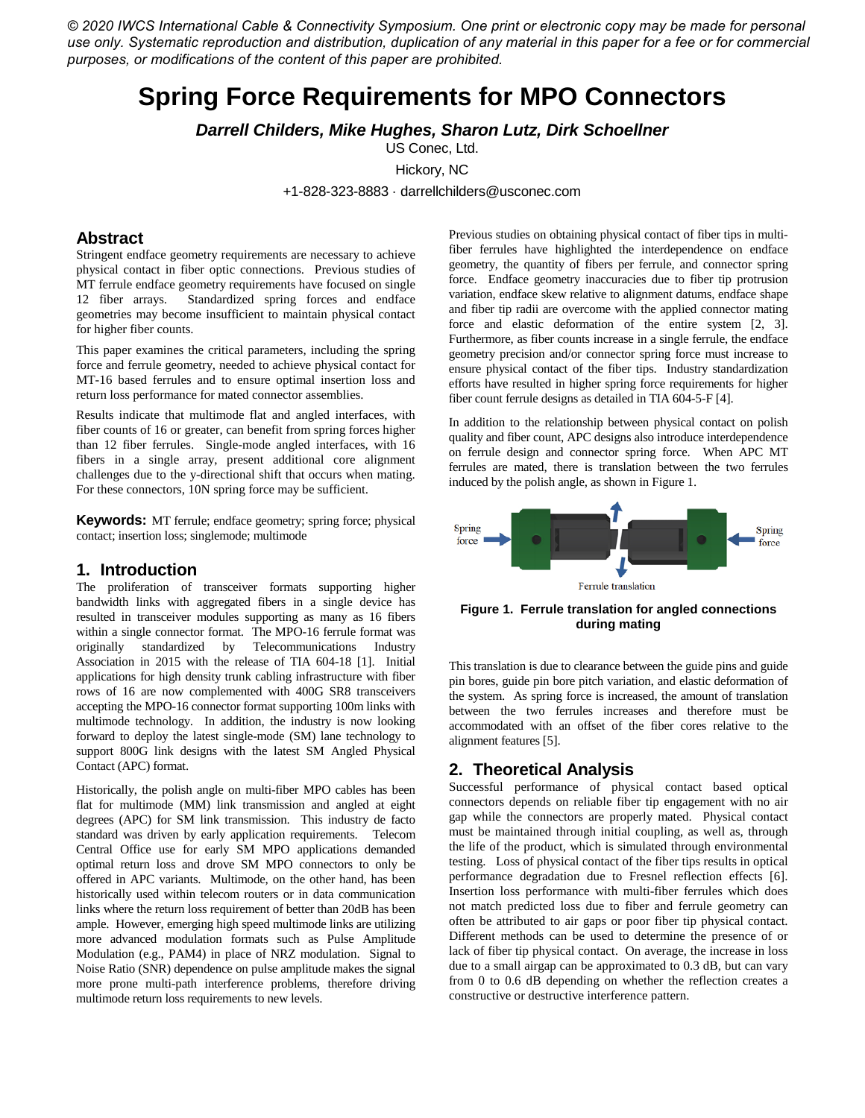*© 2020 IWCS International Cable & Connectivity Symposium. One print or electronic copy may be made for personal use only. Systematic reproduction and distribution, duplication of any material in this paper for a fee or for commercial purposes, or modifications of the content of this paper are prohibited.*

# **Spring Force Requirements for MPO Connectors**

*Darrell Childers, Mike Hughes, Sharon Lutz, Dirk Schoellner*

US Conec, Ltd.

Hickory, NC

+1-828-323-8883 · darrellchilders@usconec.com

## **Abstract**

Stringent endface geometry requirements are necessary to achieve physical contact in fiber optic connections. Previous studies of MT ferrule endface geometry requirements have focused on single 12 fiber arrays. Standardized spring forces and endface geometries may become insufficient to maintain physical contact for higher fiber counts.

This paper examines the critical parameters, including the spring force and ferrule geometry, needed to achieve physical contact for MT-16 based ferrules and to ensure optimal insertion loss and return loss performance for mated connector assemblies.

Results indicate that multimode flat and angled interfaces, with fiber counts of 16 or greater, can benefit from spring forces higher than 12 fiber ferrules. Single-mode angled interfaces, with 16 fibers in a single array, present additional core alignment challenges due to the y-directional shift that occurs when mating. For these connectors, 10N spring force may be sufficient.

**Keywords:** MT ferrule; endface geometry; spring force; physical contact; insertion loss; singlemode; multimode

#### **1. Introduction**

The proliferation of transceiver formats supporting higher bandwidth links with aggregated fibers in a single device has resulted in transceiver modules supporting as many as 16 fibers within a single connector format. The MPO-16 ferrule format was originally standardized by Telecommunications Industry Association in 2015 with the release of TIA 604-18 [1]. Initial applications for high density trunk cabling infrastructure with fiber rows of 16 are now complemented with 400G SR8 transceivers accepting the MPO-16 connector format supporting 100m links with multimode technology. In addition, the industry is now looking forward to deploy the latest single-mode (SM) lane technology to support 800G link designs with the latest SM Angled Physical Contact (APC) format.

Historically, the polish angle on multi-fiber MPO cables has been flat for multimode (MM) link transmission and angled at eight degrees (APC) for SM link transmission. This industry de facto standard was driven by early application requirements. Telecom Central Office use for early SM MPO applications demanded optimal return loss and drove SM MPO connectors to only be offered in APC variants. Multimode, on the other hand, has been historically used within telecom routers or in data communication links where the return loss requirement of better than 20dB has been ample. However, emerging high speed multimode links are utilizing more advanced modulation formats such as Pulse Amplitude Modulation (e.g., PAM4) in place of NRZ modulation. Signal to Noise Ratio (SNR) dependence on pulse amplitude makes the signal more prone multi-path interference problems, therefore driving multimode return loss requirements to new levels.

Previous studies on obtaining physical contact of fiber tips in multifiber ferrules have highlighted the interdependence on endface geometry, the quantity of fibers per ferrule, and connector spring force. Endface geometry inaccuracies due to fiber tip protrusion variation, endface skew relative to alignment datums, endface shape and fiber tip radii are overcome with the applied connector mating force and elastic deformation of the entire system [2, 3]. Furthermore, as fiber counts increase in a single ferrule, the endface geometry precision and/or connector spring force must increase to ensure physical contact of the fiber tips. Industry standardization efforts have resulted in higher spring force requirements for higher fiber count ferrule designs as detailed in TIA 604-5-F [4].

In addition to the relationship between physical contact on polish quality and fiber count, APC designs also introduce interdependence on ferrule design and connector spring force. When APC MT ferrules are mated, there is translation between the two ferrules induced by the polish angle, as shown in Figure 1.



**Figure 1. Ferrule translation for angled connections during mating**

This translation is due to clearance between the guide pins and guide pin bores, guide pin bore pitch variation, and elastic deformation of the system. As spring force is increased, the amount of translation between the two ferrules increases and therefore must be accommodated with an offset of the fiber cores relative to the alignment features [5].

## **2. Theoretical Analysis**

Successful performance of physical contact based optical connectors depends on reliable fiber tip engagement with no air gap while the connectors are properly mated. Physical contact must be maintained through initial coupling, as well as, through the life of the product, which is simulated through environmental testing. Loss of physical contact of the fiber tips results in optical performance degradation due to Fresnel reflection effects [6]. Insertion loss performance with multi-fiber ferrules which does not match predicted loss due to fiber and ferrule geometry can often be attributed to air gaps or poor fiber tip physical contact. Different methods can be used to determine the presence of or lack of fiber tip physical contact. On average, the increase in loss due to a small airgap can be approximated to 0.3 dB, but can vary from 0 to 0.6 dB depending on whether the reflection creates a constructive or destructive interference pattern.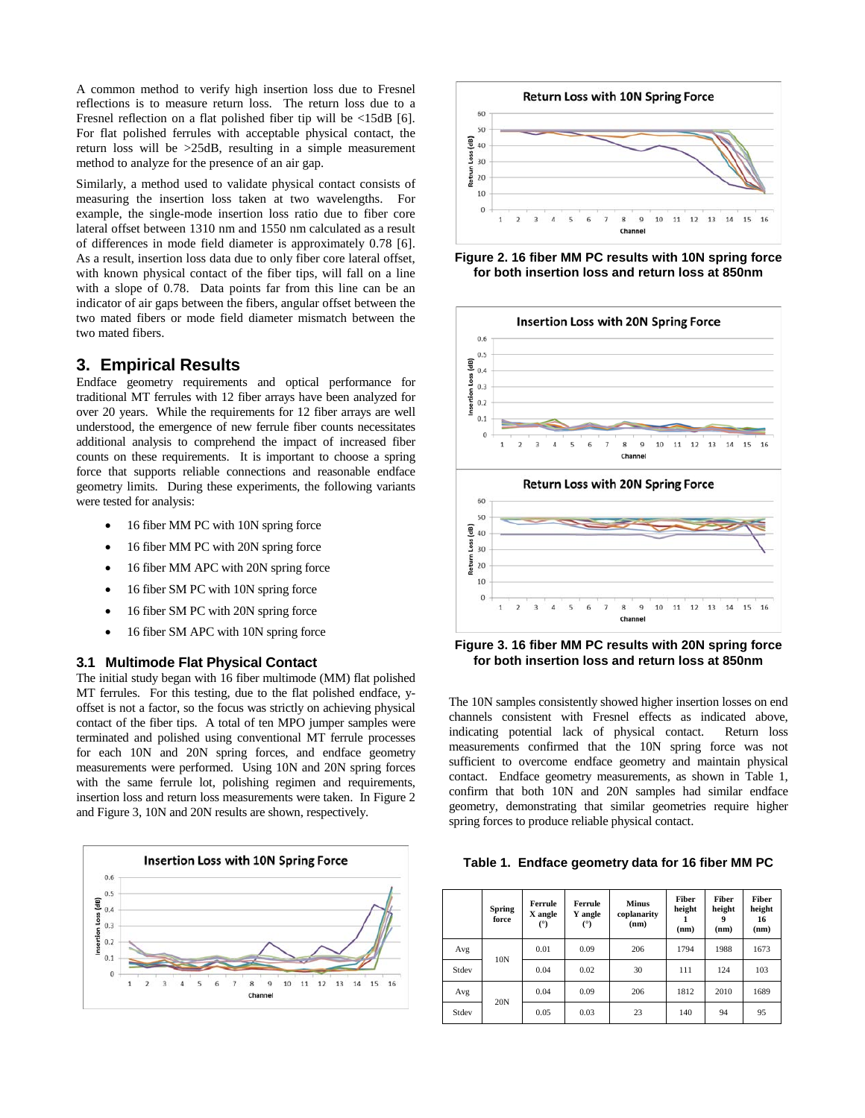A common method to verify high insertion loss due to Fresnel reflections is to measure return loss. The return loss due to a Fresnel reflection on a flat polished fiber tip will be <15dB [6]. For flat polished ferrules with acceptable physical contact, the return loss will be >25dB, resulting in a simple measurement method to analyze for the presence of an air gap.

Similarly, a method used to validate physical contact consists of measuring the insertion loss taken at two wavelengths. For example, the single-mode insertion loss ratio due to fiber core lateral offset between 1310 nm and 1550 nm calculated as a result of differences in mode field diameter is approximately 0.78 [6]. As a result, insertion loss data due to only fiber core lateral offset, with known physical contact of the fiber tips, will fall on a line with a slope of 0.78. Data points far from this line can be an indicator of air gaps between the fibers, angular offset between the two mated fibers or mode field diameter mismatch between the two mated fibers.

## **3. Empirical Results**

Endface geometry requirements and optical performance for traditional MT ferrules with 12 fiber arrays have been analyzed for over 20 years. While the requirements for 12 fiber arrays are well understood, the emergence of new ferrule fiber counts necessitates additional analysis to comprehend the impact of increased fiber counts on these requirements. It is important to choose a spring force that supports reliable connections and reasonable endface geometry limits. During these experiments, the following variants were tested for analysis:

- 16 fiber MM PC with 10N spring force
- 16 fiber MM PC with 20N spring force
- 16 fiber MM APC with 20N spring force
- 16 fiber SM PC with 10N spring force
- 16 fiber SM PC with 20N spring force
- 16 fiber SM APC with 10N spring force

#### **3.1 Multimode Flat Physical Contact**

The initial study began with 16 fiber multimode (MM) flat polished MT ferrules. For this testing, due to the flat polished endface, yoffset is not a factor, so the focus was strictly on achieving physical contact of the fiber tips. A total of ten MPO jumper samples were terminated and polished using conventional MT ferrule processes for each 10N and 20N spring forces, and endface geometry measurements were performed. Using 10N and 20N spring forces with the same ferrule lot, polishing regimen and requirements, insertion loss and return loss measurements were taken. In Figure 2 and Figure 3, 10N and 20N results are shown, respectively.





**Figure 2. 16 fiber MM PC results with 10N spring force for both insertion loss and return loss at 850nm**



**Figure 3. 16 fiber MM PC results with 20N spring force for both insertion loss and return loss at 850nm**

The 10N samples consistently showed higher insertion losses on end channels consistent with Fresnel effects as indicated above, indicating potential lack of physical contact. Return loss measurements confirmed that the 10N spring force was not sufficient to overcome endface geometry and maintain physical contact. Endface geometry measurements, as shown in Table 1, confirm that both 10N and 20N samples had similar endface geometry, demonstrating that similar geometries require higher spring forces to produce reliable physical contact.

**Table 1. Endface geometry data for 16 fiber MM PC**

|       | <b>Spring</b><br>force | Ferrule<br>X angle<br>(°) | Ferrule<br>Y angle<br>(°) | <b>Minus</b><br>coplanarity<br>(nm) | <b>Fiber</b><br>height<br>(nm) | <b>Fiber</b><br>height<br>9<br>(nm) | Fiber<br>height<br>16<br>(nm) |  |
|-------|------------------------|---------------------------|---------------------------|-------------------------------------|--------------------------------|-------------------------------------|-------------------------------|--|
| Avg   | 10N                    | 0.01                      | 0.09                      | 206                                 | 1794                           | 1988                                | 1673                          |  |
| Stdev |                        | 0.04                      | 0.02                      | 30                                  | 111                            | 124                                 | 103                           |  |
| Avg   |                        | 0.04                      | 0.09                      | 206                                 | 1812                           | 2010                                | 1689                          |  |
| Stdev | 20N                    | 0.05                      | 0.03                      | 23                                  | 140                            | 94                                  | 95                            |  |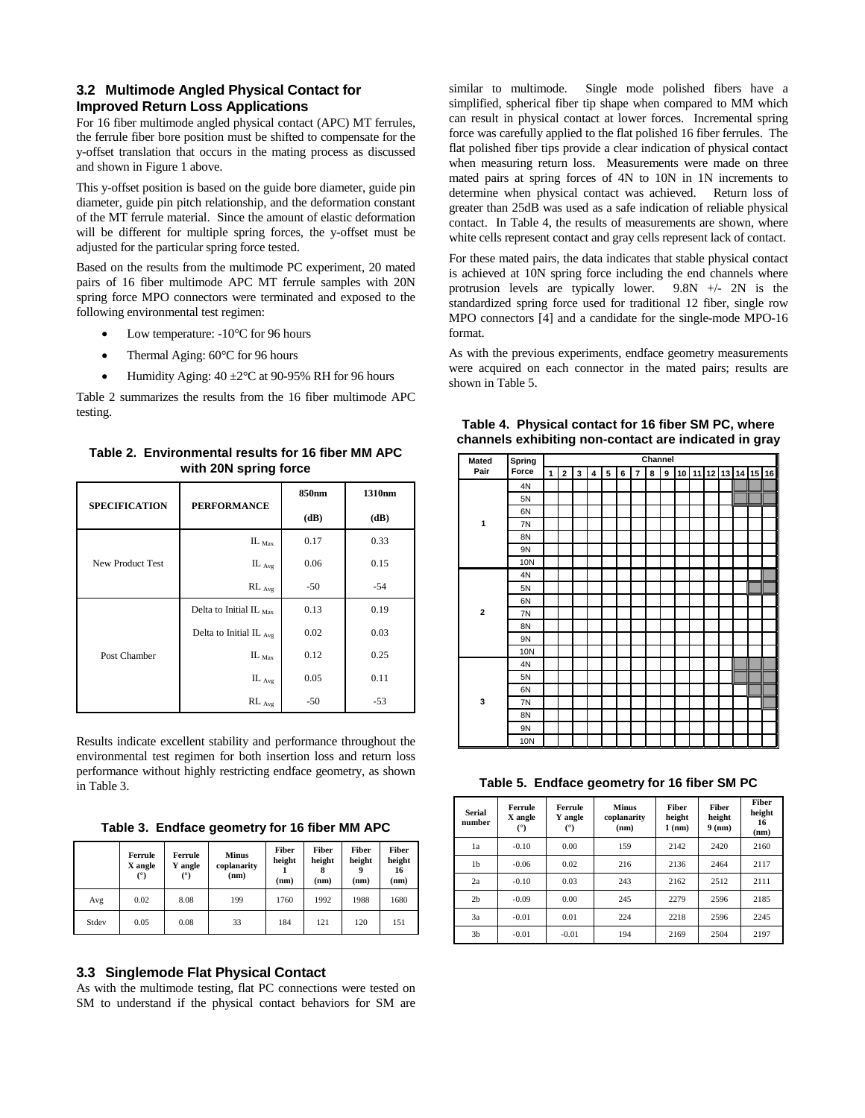#### **3.2 Multimode Angled Physical Contact for Improved Return Loss Applications**

For 16 fiber multimode angled physical contact (APC) MT ferrules, the ferrule fiber bore position must be shifted to compensate for the y-offset translation that occurs in the mating process as discussed and shown in Figure 1 above.

This y-offset position is based on the guide bore diameter, guide pin diameter, guide pin pitch relationship, and the deformation constant of the MT ferrule material. Since the amount of elastic deformation will be different for multiple spring forces, the y-offset must be adjusted for the particular spring force tested.

Based on the results from the multimode PC experiment, 20 mated pairs of 16 fiber multimode APC MT ferrule samples with 20N spring force MPO connectors were terminated and exposed to the following environmental test regimen:

- Low temperature: -10°C for 96 hours
- Thermal Aging:  $60^{\circ}$ C for 96 hours
- Humidity Aging:  $40 \pm 2^{\circ}$ C at 90-95% RH for 96 hours

Table 2 summarizes the results from the 16 fiber multimode APC testing.

**Table 2. Environmental results for 16 fiber MM APC with 20N spring force**

| <b>SPECIFICATION</b> | <b>PERFORMANCE</b>                  | 850nm | 1310nm |  |
|----------------------|-------------------------------------|-------|--------|--|
|                      |                                     | (dB)  | (dB)   |  |
|                      | $IL_{\text{Max}}$                   | 0.17  | 0.33   |  |
| New Product Test     | IL $_{Avg}$                         | 0.06  | 0.15   |  |
|                      | $RL_{Avg}$                          | $-50$ | $-54$  |  |
|                      | Delta to Initial IL $_{\text{Max}}$ | 0.13  | 0.19   |  |
|                      | Delta to Initial IL Avg             | 0.02  | 0.03   |  |
| Post Chamber         | $IL_{\text{Max}}$                   | 0.12  | 0.25   |  |
|                      | IL $_{Avg}$                         | 0.05  | 0.11   |  |
|                      | $RL$ $_{Avg}$                       | $-50$ | $-53$  |  |

Results indicate excellent stability and performance throughout the environmental test regimen for both insertion loss and return loss performance without highly restricting endface geometry, as shown in Table 3.

**Table 3. Endface geometry for 16 fiber MM APC**

|       | Ferrule<br>X angle<br>(°) | Ferrule<br>Y angle<br>(°) | <b>Minus</b><br>coplanarity<br>(nm) | Fiber<br>height<br>(nm) | Fiber<br>height<br>(nm) | Fiber<br>height<br>(nm) | Fiber<br>height<br>16<br>(nm) |  |
|-------|---------------------------|---------------------------|-------------------------------------|-------------------------|-------------------------|-------------------------|-------------------------------|--|
| Avg   | 0.02                      | 8.08                      | 199                                 | 1760                    | 1992                    | 1988                    | 1680                          |  |
| Stdev | 0.05                      | 0.08                      | 33                                  | 184                     | 121                     | 120                     | 151                           |  |

#### **3.3 Singlemode Flat Physical Contact**

As with the multimode testing, flat PC connections were tested on SM to understand if the physical contact behaviors for SM are

similar to multimode. Single mode polished fibers have a simplified, spherical fiber tip shape when compared to MM which can result in physical contact at lower forces. Incremental spring force was carefully applied to the flat polished 16 fiber ferrules. The flat polished fiber tips provide a clear indication of physical contact when measuring return loss. Measurements were made on three mated pairs at spring forces of 4N to 10N in 1N increments to determine when physical contact was achieved. Return loss of greater than 25dB was used as a safe indication of reliable physical contact. In Table 4, the results of measurements are shown, where white cells represent contact and gray cells represent lack of contact.

For these mated pairs, the data indicates that stable physical contact is achieved at 10N spring force including the end channels where protrusion levels are typically lower. 9.8N +/- 2N is the standardized spring force used for traditional 12 fiber, single row MPO connectors [4] and a candidate for the single-mode MPO-16 format.

As with the previous experiments, endface geometry measurements were acquired on each connector in the mated pairs; results are shown in Table 5.

| Mated          | Spring | Channel      |              |   |   |   |   |                |   |   |  |  |  |                      |  |
|----------------|--------|--------------|--------------|---|---|---|---|----------------|---|---|--|--|--|----------------------|--|
| Pair           | Force  | $\mathbf{1}$ | $\mathbf{2}$ | 3 | 4 | 5 | 6 | $\overline{7}$ | 8 | 9 |  |  |  | 10 11 12 13 14 15 16 |  |
|                | 4N     |              |              |   |   |   |   |                |   |   |  |  |  |                      |  |
|                | 5N     |              |              |   |   |   |   |                |   |   |  |  |  |                      |  |
|                | 6N     |              |              |   |   |   |   |                |   |   |  |  |  |                      |  |
| 1              | 7N     |              |              |   |   |   |   |                |   |   |  |  |  |                      |  |
|                | 8N     |              |              |   |   |   |   |                |   |   |  |  |  |                      |  |
|                | 9N     |              |              |   |   |   |   |                |   |   |  |  |  |                      |  |
|                | 10N    |              |              |   |   |   |   |                |   |   |  |  |  |                      |  |
|                | 4N     |              |              |   |   |   |   |                |   |   |  |  |  |                      |  |
|                | 5N     |              |              |   |   |   |   |                |   |   |  |  |  |                      |  |
|                | 6N     |              |              |   |   |   |   |                |   |   |  |  |  |                      |  |
| $\overline{2}$ | 7N     |              |              |   |   |   |   |                |   |   |  |  |  |                      |  |
|                | 8N     |              |              |   |   |   |   |                |   |   |  |  |  |                      |  |
|                | 9N     |              |              |   |   |   |   |                |   |   |  |  |  |                      |  |
|                | 10N    |              |              |   |   |   |   |                |   |   |  |  |  |                      |  |
|                | 4N     |              |              |   |   |   |   |                |   |   |  |  |  |                      |  |
|                | 5N     |              |              |   |   |   |   |                |   |   |  |  |  |                      |  |
|                | 6N     |              |              |   |   |   |   |                |   |   |  |  |  |                      |  |
| 3              | 7N     |              |              |   |   |   |   |                |   |   |  |  |  |                      |  |
|                | 8N     |              |              |   |   |   |   |                |   |   |  |  |  |                      |  |
|                | 9N     |              |              |   |   |   |   |                |   |   |  |  |  |                      |  |
|                | 10N    |              |              |   |   |   |   |                |   |   |  |  |  |                      |  |

**Table 4. Physical contact for 16 fiber SM PC, where channels exhibiting non-contact are indicated in gray**

**Table 5. Endface geometry for 16 fiber SM PC**

| <b>Serial</b><br>number | Ferrule<br>X angle<br>(°) | Ferrule<br>Y angle<br>(°) | <b>Minus</b><br>coplanarity<br>(nm) | Fiber<br>height<br>$1$ (nm) | Fiber<br>height<br>$9$ (nm) | Fiber<br>height<br>16<br>(nm) |  |
|-------------------------|---------------------------|---------------------------|-------------------------------------|-----------------------------|-----------------------------|-------------------------------|--|
| 1a                      | $-0.10$                   | 0.00                      | 159                                 | 2142                        | 2420                        | 2160                          |  |
| 1 <sub>b</sub>          | $-0.06$                   | 0.02                      | 216                                 | 2136                        | 2464                        | 2117                          |  |
| 2a                      | $-0.10$                   | 0.03                      | 243                                 | 2162                        | 2512                        | 2111                          |  |
| 2 <sub>b</sub>          | $-0.09$                   | 0.00                      | 245                                 | 2279                        | 2596                        | 2185                          |  |
| 3a                      | $-0.01$                   | 0.01                      | 224                                 | 2218                        | 2596                        | 2245                          |  |
| 3 <sub>b</sub>          | $-0.01$                   | $-0.01$                   | 194                                 | 2169                        | 2504                        | 2197                          |  |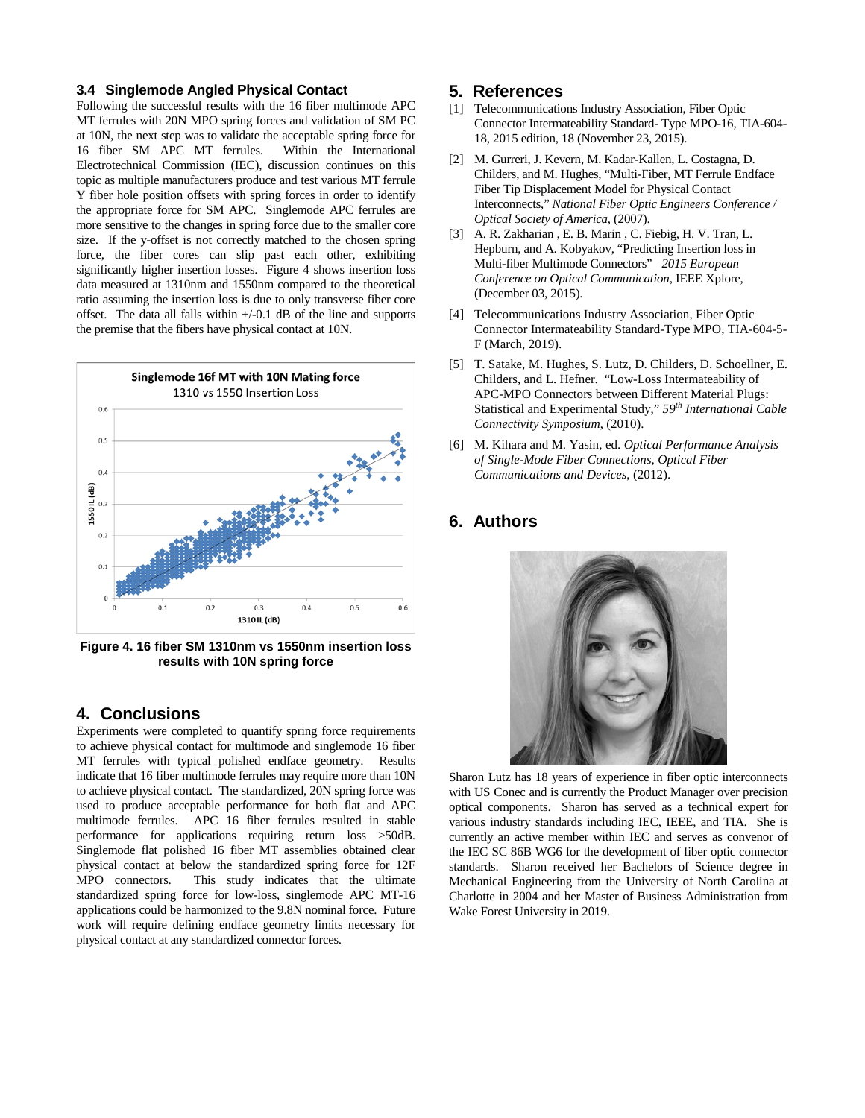#### **3.4 Singlemode Angled Physical Contact**

Following the successful results with the 16 fiber multimode APC MT ferrules with 20N MPO spring forces and validation of SM PC at 10N, the next step was to validate the acceptable spring force for 16 fiber SM APC MT ferrules. Within the International Electrotechnical Commission (IEC), discussion continues on this topic as multiple manufacturers produce and test various MT ferrule Y fiber hole position offsets with spring forces in order to identify the appropriate force for SM APC. Singlemode APC ferrules are more sensitive to the changes in spring force due to the smaller core size. If the y-offset is not correctly matched to the chosen spring force, the fiber cores can slip past each other, exhibiting significantly higher insertion losses. Figure 4 shows insertion loss data measured at 1310nm and 1550nm compared to the theoretical ratio assuming the insertion loss is due to only transverse fiber core offset. The data all falls within  $+/-0.1$  dB of the line and supports the premise that the fibers have physical contact at 10N.



**Figure 4. 16 fiber SM 1310nm vs 1550nm insertion loss results with 10N spring force**

#### **4. Conclusions**

Experiments were completed to quantify spring force requirements to achieve physical contact for multimode and singlemode 16 fiber MT ferrules with typical polished endface geometry. Results indicate that 16 fiber multimode ferrules may require more than 10N to achieve physical contact. The standardized, 20N spring force was used to produce acceptable performance for both flat and APC multimode ferrules. APC 16 fiber ferrules resulted in stable performance for applications requiring return loss >50dB. Singlemode flat polished 16 fiber MT assemblies obtained clear physical contact at below the standardized spring force for 12F MPO connectors. This study indicates that the ultimate standardized spring force for low-loss, singlemode APC MT-16 applications could be harmonized to the 9.8N nominal force. Future work will require defining endface geometry limits necessary for physical contact at any standardized connector forces.

#### **5. References**

- [1] Telecommunications Industry Association, Fiber Optic Connector Intermateability Standard- Type MPO-16, TIA-604- 18, 2015 edition, 18 (November 23, 2015).
- [2] M. Gurreri, J. Kevern, M. Kadar-Kallen, L. Costagna, D. Childers, and M. Hughes, "Multi-Fiber, MT Ferrule Endface Fiber Tip Displacement Model for Physical Contact Interconnects," *National Fiber Optic Engineers Conference / Optical Society of America*, (2007).
- [3] A. R[. Zakharian](https://ieeexplore.ieee.org/author/37063565300) , E. B. Marin , C. Fiebig, H. V. Tran, L. Hepburn, and [A. Kobyakov,](https://ieeexplore.ieee.org/author/37294480900) "Predicting Insertion loss in Multi-fiber Multimode Connectors" *[2015 European](https://ieeexplore.ieee.org/xpl/conhome/7318283/proceeding)  [Conference on Optical Communication](https://ieeexplore.ieee.org/xpl/conhome/7318283/proceeding)*, IEEE Xplore, (December 03, 2015).
- [4] Telecommunications Industry Association, Fiber Optic Connector Intermateability Standard-Type MPO, TIA-604-5- F (March, 2019).
- [5] T. Satake, M. Hughes, S. Lutz, D. Childers, D. Schoellner, E. Childers, and L. Hefner. "Low-Loss Intermateability of APC-MPO Connectors between Different Material Plugs: Statistical and Experimental Study," *59th International Cable Connectivity Symposium*, (2010).
- [6] M. Kihara and M. Yasin, ed. *Optical Performance Analysis of Single-Mode Fiber Connections, Optical Fiber Communications and Devices*, (2012).

### **6. Authors**



Sharon Lutz has 18 years of experience in fiber optic interconnects with US Conec and is currently the Product Manager over precision optical components. Sharon has served as a technical expert for various industry standards including IEC, IEEE, and TIA. She is currently an active member within IEC and serves as convenor of the IEC SC 86B WG6 for the development of fiber optic connector standards. Sharon received her Bachelors of Science degree in Mechanical Engineering from the University of North Carolina at Charlotte in 2004 and her Master of Business Administration from Wake Forest University in 2019.